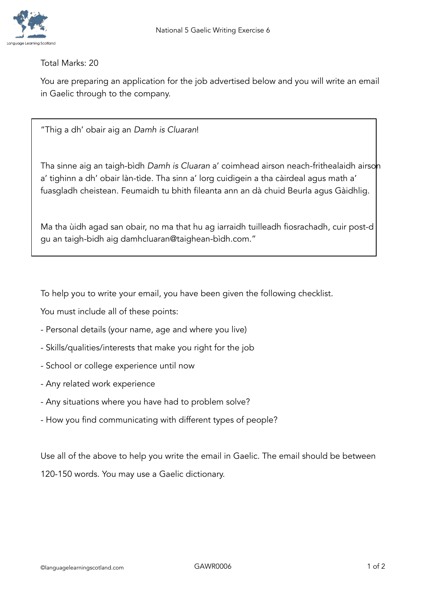

Total Marks: 20

You are preparing an application for the job advertised below and you will write an email in Gaelic through to the company.

"Thig a dh' obair aig an *Damh is Cluaran*!

Tha sinne aig an taigh-bìdh *Damh is Cluaran* a' coimhead airson neach-frithealaidh airson a' tighinn a dh' obair làn-tìde. Tha sinn a' lorg cuidigein a tha càirdeal agus math a' fuasgladh cheistean. Feumaidh tu bhith fileanta ann an dà chuid Beurla agus Gàidhlig.

Ma tha ùidh agad san obair, no ma that hu ag iarraidh tuilleadh fiosrachadh, cuir post-d gu an taigh-bidh aig damhcluaran@taighean-bìdh.com."

To help you to write your email, you have been given the following checklist.

You must include all of these points:

- Personal details (your name, age and where you live)
- Skills/qualities/interests that make you right for the job
- School or college experience until now
- Any related work experience
- Any situations where you have had to problem solve?
- How you find communicating with different types of people?

Use all of the above to help you write the email in Gaelic. The email should be between 120-150 words. You may use a Gaelic dictionary.